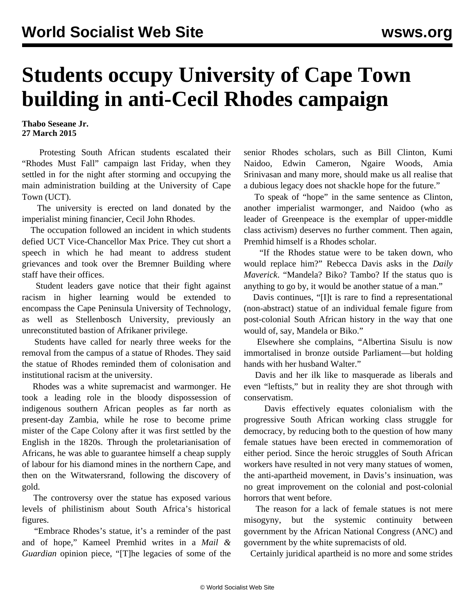## **Students occupy University of Cape Town building in anti-Cecil Rhodes campaign**

**Thabo Seseane Jr. 27 March 2015**

 Protesting South African students escalated their "Rhodes Must Fall" campaign last Friday, when they settled in for the night after storming and occupying the main administration building at the University of Cape Town (UCT).

 The university is erected on land donated by the imperialist mining financier, Cecil John Rhodes.

 The occupation followed an incident in which students defied UCT Vice-Chancellor Max Price. They cut short a speech in which he had meant to address student grievances and took over the Bremner Building where staff have their offices.

 Student leaders gave notice that their fight against racism in higher learning would be extended to encompass the Cape Peninsula University of Technology, as well as Stellenbosch University, previously an unreconstituted bastion of Afrikaner privilege.

 Students have called for nearly three weeks for the removal from the campus of a statue of Rhodes. They said the statue of Rhodes reminded them of colonisation and institutional racism at the university.

 Rhodes was a white supremacist and warmonger. He took a leading role in the bloody dispossession of indigenous southern African peoples as far north as present-day Zambia, while he rose to become prime mister of the Cape Colony after it was first settled by the English in the 1820s. Through the proletarianisation of Africans, he was able to guarantee himself a cheap supply of labour for his diamond mines in the northern Cape, and then on the Witwatersrand, following the discovery of gold.

 The controversy over the statue has exposed various levels of philistinism about South Africa's historical figures.

 "Embrace Rhodes's statue, it's a reminder of the past and of hope," Kameel Premhid writes in a *Mail & Guardian* opinion piece, "[T]he legacies of some of the

senior Rhodes scholars, such as Bill Clinton, Kumi Naidoo, Edwin Cameron, Ngaire Woods, Amia Srinivasan and many more, should make us all realise that a dubious legacy does not shackle hope for the future."

 To speak of "hope" in the same sentence as Clinton, another imperialist warmonger, and Naidoo (who as leader of Greenpeace is the exemplar of upper-middle class activism) deserves no further comment. Then again, Premhid himself is a Rhodes scholar.

 "If the Rhodes statue were to be taken down, who would replace him?" Rebecca Davis asks in the *Daily Maverick*. "Mandela? Biko? Tambo? If the status quo is anything to go by, it would be another statue of a man."

 Davis continues, "[I]t is rare to find a representational (non-abstract) statue of an individual female figure from post-colonial South African history in the way that one would of, say, Mandela or Biko."

 Elsewhere she complains, "Albertina Sisulu is now immortalised in bronze outside Parliament—but holding hands with her husband Walter."

 Davis and her ilk like to masquerade as liberals and even "leftists," but in reality they are shot through with conservatism.

 Davis effectively equates colonialism with the progressive South African working class struggle for democracy, by reducing both to the question of how many female statues have been erected in commemoration of either period. Since the heroic struggles of South African workers have resulted in not very many statues of women, the anti-apartheid movement, in Davis's insinuation, was no great improvement on the colonial and post-colonial horrors that went before.

 The reason for a lack of female statues is not mere misogyny, but the systemic continuity between government by the African National Congress (ANC) and government by the white supremacists of old.

Certainly juridical apartheid is no more and some strides